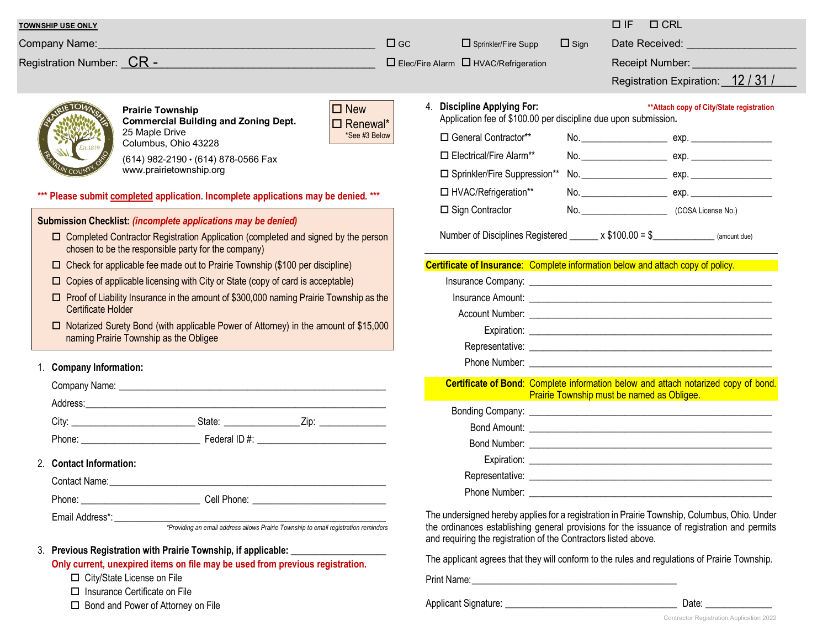|                                                                                                                                                                                                                                                                    |                               |                                                                                                          |             | $\Box$ IF<br>$\Box$ CRL                                                                                                                                                                                                        |
|--------------------------------------------------------------------------------------------------------------------------------------------------------------------------------------------------------------------------------------------------------------------|-------------------------------|----------------------------------------------------------------------------------------------------------|-------------|--------------------------------------------------------------------------------------------------------------------------------------------------------------------------------------------------------------------------------|
| <b>TOWNSHIP USE ONLY</b>                                                                                                                                                                                                                                           | $\Box$ GC                     |                                                                                                          |             |                                                                                                                                                                                                                                |
| Company Name:                                                                                                                                                                                                                                                      |                               | $\Box$ Sprinkler/Fire Supp                                                                               | $\Box$ Sign | Date Received: ___________________                                                                                                                                                                                             |
| Registration Number: CR -                                                                                                                                                                                                                                          |                               | $\Box$ Elec/Fire Alarm $\Box$ HVAC/Refrigeration                                                         |             | Receipt Number:<br><u>Receipt Number:</u>                                                                                                                                                                                      |
|                                                                                                                                                                                                                                                                    |                               |                                                                                                          |             | Registration Expiration: 12/31/                                                                                                                                                                                                |
| <b>Prairie Township</b><br><b>Commercial Building and Zoning Dept.</b><br>25 Maple Drive<br>Columbus, Ohio 43228                                                                                                                                                   | $\Box$ New<br>$\Box$ Renewal* | <b>Discipline Applying For:</b><br>4.<br>Application fee of \$100.00 per discipline due upon submission. |             | ** Attach copy of City/State registration                                                                                                                                                                                      |
|                                                                                                                                                                                                                                                                    | *See #3 Below                 | □ General Contractor**                                                                                   |             |                                                                                                                                                                                                                                |
| (614) 982-2190 · (614) 878-0566 Fax                                                                                                                                                                                                                                |                               | Electrical/Fire Alarm**                                                                                  |             |                                                                                                                                                                                                                                |
| www.prairietownship.org                                                                                                                                                                                                                                            |                               | □ Sprinkler/Fire Suppression**                                                                           |             |                                                                                                                                                                                                                                |
|                                                                                                                                                                                                                                                                    |                               | □ HVAC/Refrigeration**                                                                                   |             |                                                                                                                                                                                                                                |
| *** Please submit completed application. Incomplete applications may be denied. ***                                                                                                                                                                                |                               | □ Sign Contractor                                                                                        |             | No. (COSA License No.)                                                                                                                                                                                                         |
| Submission Checklist: (incomplete applications may be denied)                                                                                                                                                                                                      |                               |                                                                                                          |             |                                                                                                                                                                                                                                |
| $\Box$ Completed Contractor Registration Application (completed and signed by the person<br>chosen to be the responsible party for the company)                                                                                                                    |                               |                                                                                                          |             | Number of Disciplines Registered $x $100.00 = $$ (amount due)                                                                                                                                                                  |
| $\Box$ Check for applicable fee made out to Prairie Township (\$100 per discipline)                                                                                                                                                                                |                               |                                                                                                          |             | Certificate of Insurance: Complete information below and attach copy of policy.                                                                                                                                                |
| $\Box$ Copies of applicable licensing with City or State (copy of card is acceptable)                                                                                                                                                                              |                               |                                                                                                          |             |                                                                                                                                                                                                                                |
| $\Box$ Proof of Liability Insurance in the amount of \$300,000 naming Prairie Township as the<br><b>Certificate Holder</b><br>$\Box$ Notarized Surety Bond (with applicable Power of Attorney) in the amount of \$15,000<br>naming Prairie Township as the Obligee |                               |                                                                                                          |             |                                                                                                                                                                                                                                |
|                                                                                                                                                                                                                                                                    |                               |                                                                                                          |             |                                                                                                                                                                                                                                |
|                                                                                                                                                                                                                                                                    |                               |                                                                                                          |             |                                                                                                                                                                                                                                |
|                                                                                                                                                                                                                                                                    |                               |                                                                                                          |             |                                                                                                                                                                                                                                |
| <b>Company Information:</b>                                                                                                                                                                                                                                        |                               |                                                                                                          |             |                                                                                                                                                                                                                                |
|                                                                                                                                                                                                                                                                    |                               |                                                                                                          |             | Certificate of Bond: Complete information below and attach notarized copy of bond.                                                                                                                                             |
|                                                                                                                                                                                                                                                                    |                               |                                                                                                          |             | <b>Prairie Township must be named as Obligee.</b><br><u> 1999 - Johann Barnett, fransk politiker</u>                                                                                                                           |
|                                                                                                                                                                                                                                                                    |                               |                                                                                                          |             |                                                                                                                                                                                                                                |
|                                                                                                                                                                                                                                                                    |                               |                                                                                                          |             |                                                                                                                                                                                                                                |
|                                                                                                                                                                                                                                                                    |                               |                                                                                                          |             |                                                                                                                                                                                                                                |
| 2. Contact Information:                                                                                                                                                                                                                                            |                               |                                                                                                          |             |                                                                                                                                                                                                                                |
| Contact Name: William School and The Contact Name:                                                                                                                                                                                                                 |                               | Representative:                                                                                          |             |                                                                                                                                                                                                                                |
|                                                                                                                                                                                                                                                                    |                               |                                                                                                          |             | Phone Number: The Second Second Second Second Second Second Second Second Second Second Second Second Second Second Second Second Second Second Second Second Second Second Second Second Second Second Second Second Second S |
|                                                                                                                                                                                                                                                                    |                               | and requiring the registration of the Contractors listed above.                                          |             | The undersigned hereby applies for a registration in Prairie Township, Columbus, Ohio. Under<br>the ordinances establishing general provisions for the issuance of registration and permits                                    |
| Previous Registration with Prairie Township, if applicable: ____________________<br>3.                                                                                                                                                                             |                               |                                                                                                          |             |                                                                                                                                                                                                                                |
| Only current, unexpired items on file may be used from previous registration.                                                                                                                                                                                      |                               |                                                                                                          |             | The applicant agrees that they will conform to the rules and regulations of Prairie Township.                                                                                                                                  |
| □ City/State License on File                                                                                                                                                                                                                                       |                               |                                                                                                          |             |                                                                                                                                                                                                                                |
| □ Insurance Certificate on File                                                                                                                                                                                                                                    |                               |                                                                                                          |             |                                                                                                                                                                                                                                |
| $\Box$ Bond and Power of Attorney on File                                                                                                                                                                                                                          |                               |                                                                                                          |             | Date:                                                                                                                                                                                                                          |